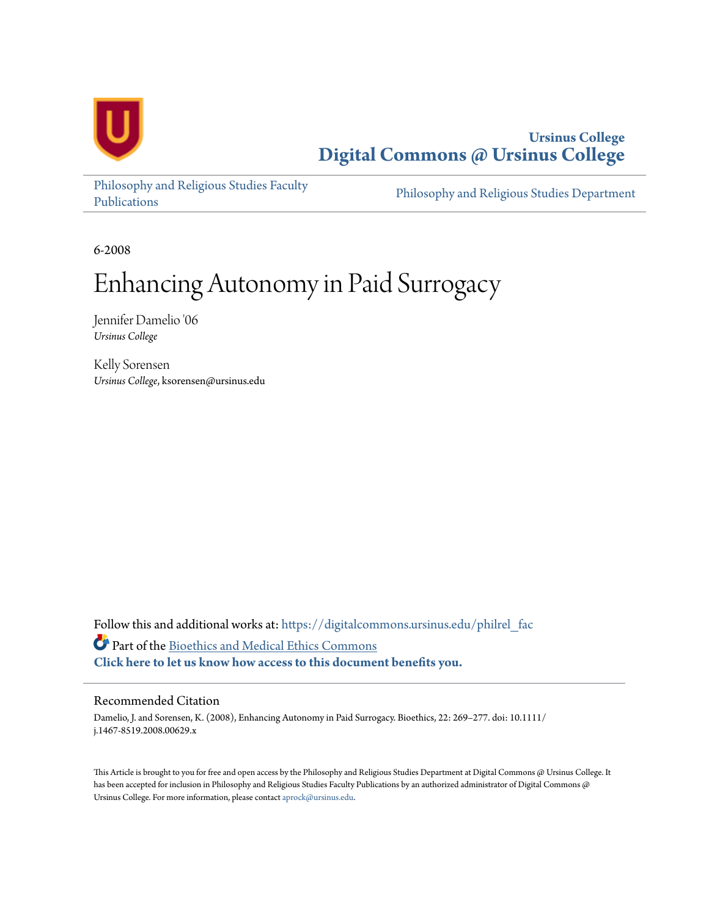

**Ursinus College [Digital Commons @ Ursinus College](https://digitalcommons.ursinus.edu?utm_source=digitalcommons.ursinus.edu%2Fphilrel_fac%2F5&utm_medium=PDF&utm_campaign=PDFCoverPages)**

[Philosophy and Religious Studies Faculty](https://digitalcommons.ursinus.edu/philrel_fac?utm_source=digitalcommons.ursinus.edu%2Fphilrel_fac%2F5&utm_medium=PDF&utm_campaign=PDFCoverPages) [Publications](https://digitalcommons.ursinus.edu/philrel_fac?utm_source=digitalcommons.ursinus.edu%2Fphilrel_fac%2F5&utm_medium=PDF&utm_campaign=PDFCoverPages)

[Philosophy and Religious Studies Department](https://digitalcommons.ursinus.edu/philrel?utm_source=digitalcommons.ursinus.edu%2Fphilrel_fac%2F5&utm_medium=PDF&utm_campaign=PDFCoverPages)

6-2008

# Enhancing Autonomy in Paid Surrogacy

Jennifer Damelio '06 *Ursinus College*

Kelly Sorensen *Ursinus College*, ksorensen@ursinus.edu

Follow this and additional works at: [https://digitalcommons.ursinus.edu/philrel\\_fac](https://digitalcommons.ursinus.edu/philrel_fac?utm_source=digitalcommons.ursinus.edu%2Fphilrel_fac%2F5&utm_medium=PDF&utm_campaign=PDFCoverPages) Part of the [Bioethics and Medical Ethics Commons](http://network.bepress.com/hgg/discipline/650?utm_source=digitalcommons.ursinus.edu%2Fphilrel_fac%2F5&utm_medium=PDF&utm_campaign=PDFCoverPages) **[Click here to let us know how access to this document benefits you.](https://ursinus.co1.qualtrics.com/jfe/form/SV_1RIyfqzdxsWfMQ5)**

#### Recommended Citation

Damelio, J. and Sorensen, K. (2008), Enhancing Autonomy in Paid Surrogacy. Bioethics, 22: 269–277. doi: 10.1111/ j.1467-8519.2008.00629.x

This Article is brought to you for free and open access by the Philosophy and Religious Studies Department at Digital Commons @ Ursinus College. It has been accepted for inclusion in Philosophy and Religious Studies Faculty Publications by an authorized administrator of Digital Commons @ Ursinus College. For more information, please contact [aprock@ursinus.edu](mailto:aprock@ursinus.edu).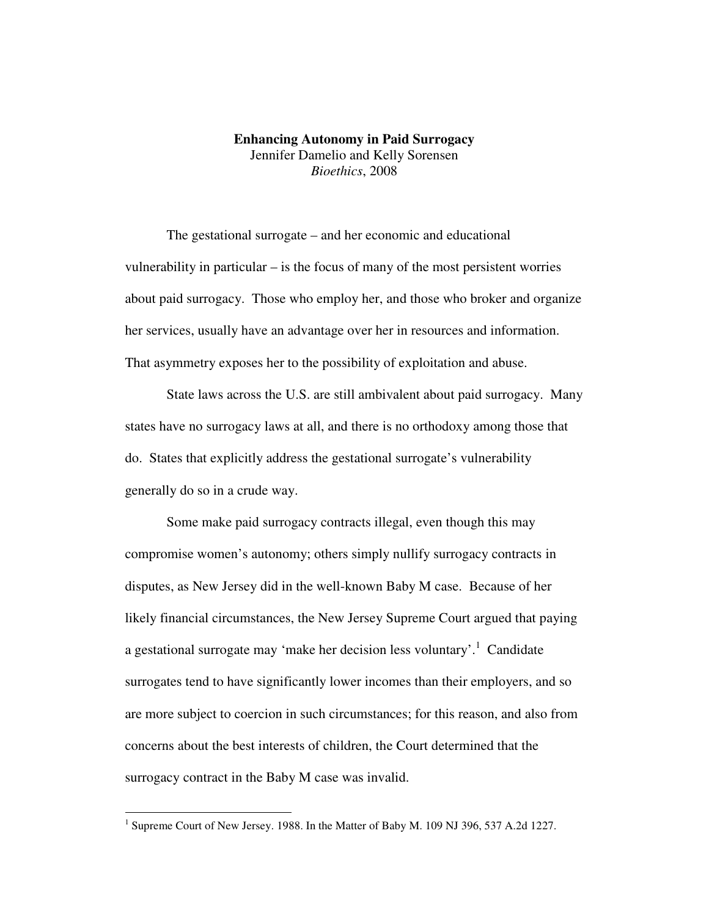# **Enhancing Autonomy in Paid Surrogacy**  Jennifer Damelio and Kelly Sorensen *Bioethics*, 2008

 The gestational surrogate – and her economic and educational vulnerability in particular – is the focus of many of the most persistent worries about paid surrogacy. Those who employ her, and those who broker and organize her services, usually have an advantage over her in resources and information. That asymmetry exposes her to the possibility of exploitation and abuse.

 State laws across the U.S. are still ambivalent about paid surrogacy. Many states have no surrogacy laws at all, and there is no orthodoxy among those that do. States that explicitly address the gestational surrogate's vulnerability generally do so in a crude way.

Some make paid surrogacy contracts illegal, even though this may compromise women's autonomy; others simply nullify surrogacy contracts in disputes, as New Jersey did in the well-known Baby M case. Because of her likely financial circumstances, the New Jersey Supreme Court argued that paying a gestational surrogate may 'make her decision less voluntary'.<sup>1</sup> Candidate surrogates tend to have significantly lower incomes than their employers, and so are more subject to coercion in such circumstances; for this reason, and also from concerns about the best interests of children, the Court determined that the surrogacy contract in the Baby M case was invalid.

<sup>&</sup>lt;sup>1</sup> Supreme Court of New Jersey. 1988. In the Matter of Baby M. 109 NJ 396, 537 A.2d 1227.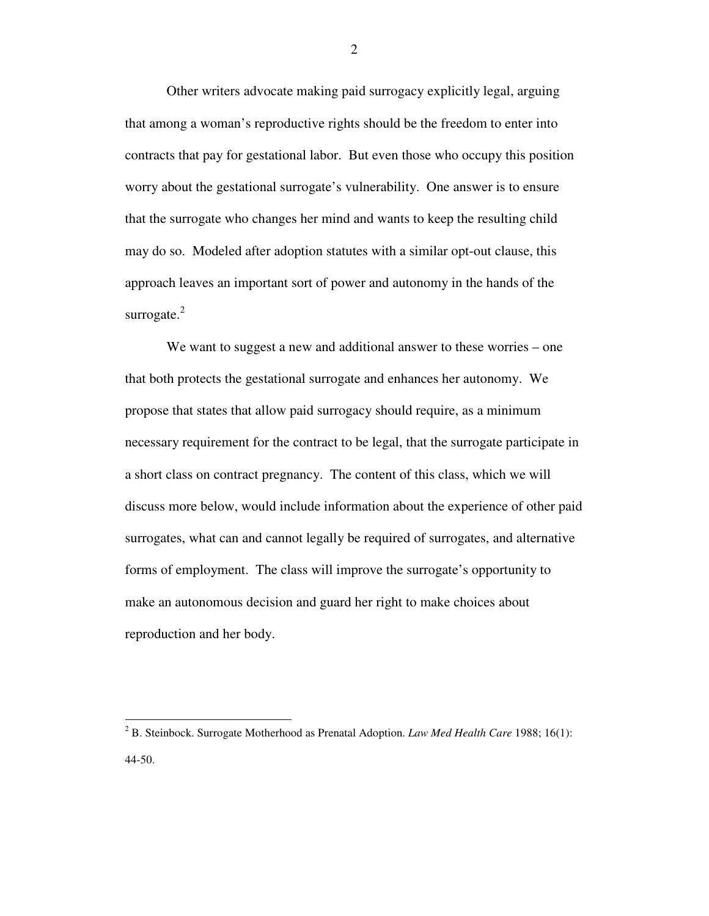Other writers advocate making paid surrogacy explicitly legal, arguing that among a woman's reproductive rights should be the freedom to enter into contracts that pay for gestational labor. But even those who occupy this position worry about the gestational surrogate's vulnerability. One answer is to ensure that the surrogate who changes her mind and wants to keep the resulting child may do so. Modeled after adoption statutes with a similar opt-out clause, this approach leaves an important sort of power and autonomy in the hands of the surrogate. $^{2}$ 

We want to suggest a new and additional answer to these worries – one that both protects the gestational surrogate and enhances her autonomy. We propose that states that allow paid surrogacy should require, as a minimum necessary requirement for the contract to be legal, that the surrogate participate in a short class on contract pregnancy. The content of this class, which we will discuss more below, would include information about the experience of other paid surrogates, what can and cannot legally be required of surrogates, and alternative forms of employment. The class will improve the surrogate's opportunity to make an autonomous decision and guard her right to make choices about reproduction and her body.

<u>.</u>

<sup>2</sup> B. Steinbock. Surrogate Motherhood as Prenatal Adoption. *Law Med Health Care* 1988; 16(1): 44-50.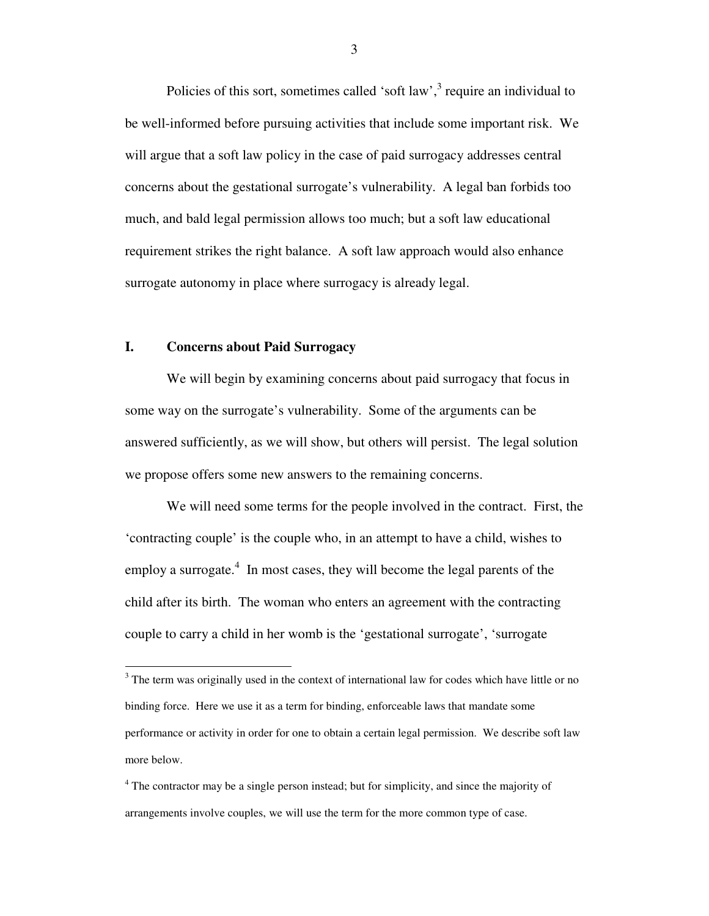Policies of this sort, sometimes called 'soft law', $3$  require an individual to be well-informed before pursuing activities that include some important risk. We will argue that a soft law policy in the case of paid surrogacy addresses central concerns about the gestational surrogate's vulnerability. A legal ban forbids too much, and bald legal permission allows too much; but a soft law educational requirement strikes the right balance. A soft law approach would also enhance surrogate autonomy in place where surrogacy is already legal.

## **I. Concerns about Paid Surrogacy**

 We will begin by examining concerns about paid surrogacy that focus in some way on the surrogate's vulnerability. Some of the arguments can be answered sufficiently, as we will show, but others will persist. The legal solution we propose offers some new answers to the remaining concerns.

 We will need some terms for the people involved in the contract. First, the 'contracting couple' is the couple who, in an attempt to have a child, wishes to employ a surrogate. $4$  In most cases, they will become the legal parents of the child after its birth. The woman who enters an agreement with the contracting couple to carry a child in her womb is the 'gestational surrogate', 'surrogate

<sup>&</sup>lt;sup>3</sup> The term was originally used in the context of international law for codes which have little or no binding force. Here we use it as a term for binding, enforceable laws that mandate some performance or activity in order for one to obtain a certain legal permission. We describe soft law more below.

<sup>&</sup>lt;sup>4</sup> The contractor may be a single person instead; but for simplicity, and since the majority of arrangements involve couples, we will use the term for the more common type of case.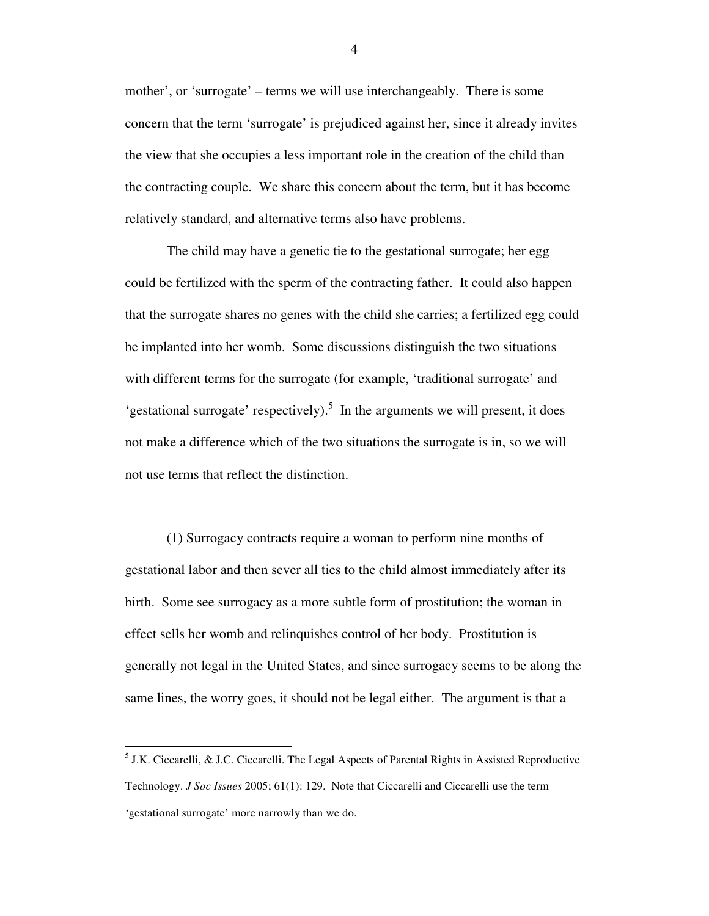mother', or 'surrogate' – terms we will use interchangeably. There is some concern that the term 'surrogate' is prejudiced against her, since it already invites the view that she occupies a less important role in the creation of the child than the contracting couple. We share this concern about the term, but it has become relatively standard, and alternative terms also have problems.

The child may have a genetic tie to the gestational surrogate; her egg could be fertilized with the sperm of the contracting father. It could also happen that the surrogate shares no genes with the child she carries; a fertilized egg could be implanted into her womb. Some discussions distinguish the two situations with different terms for the surrogate (for example, 'traditional surrogate' and 'gestational surrogate' respectively).<sup>5</sup> In the arguments we will present, it does not make a difference which of the two situations the surrogate is in, so we will not use terms that reflect the distinction.

 (1) Surrogacy contracts require a woman to perform nine months of gestational labor and then sever all ties to the child almost immediately after its birth. Some see surrogacy as a more subtle form of prostitution; the woman in effect sells her womb and relinquishes control of her body. Prostitution is generally not legal in the United States, and since surrogacy seems to be along the same lines, the worry goes, it should not be legal either. The argument is that a

 $<sup>5</sup>$  J.K. Ciccarelli, & J.C. Ciccarelli. The Legal Aspects of Parental Rights in Assisted Reproductive</sup> Technology. *J Soc Issues* 2005; 61(1): 129. Note that Ciccarelli and Ciccarelli use the term 'gestational surrogate' more narrowly than we do.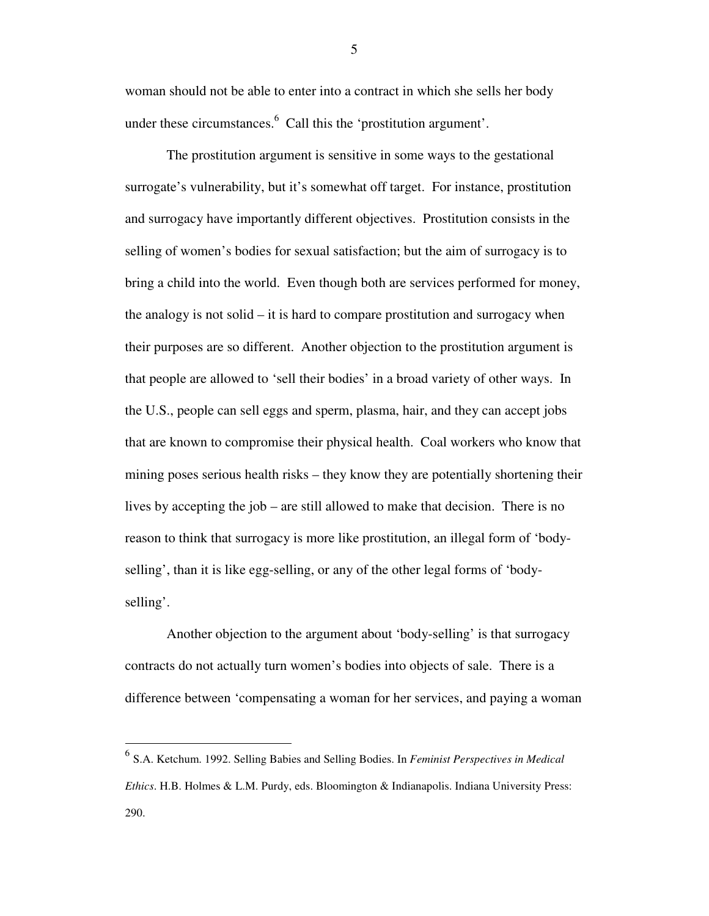woman should not be able to enter into a contract in which she sells her body under these circumstances. $6$  Call this the 'prostitution argument'.

The prostitution argument is sensitive in some ways to the gestational surrogate's vulnerability, but it's somewhat off target. For instance, prostitution and surrogacy have importantly different objectives. Prostitution consists in the selling of women's bodies for sexual satisfaction; but the aim of surrogacy is to bring a child into the world. Even though both are services performed for money, the analogy is not solid – it is hard to compare prostitution and surrogacy when their purposes are so different. Another objection to the prostitution argument is that people are allowed to 'sell their bodies' in a broad variety of other ways. In the U.S., people can sell eggs and sperm, plasma, hair, and they can accept jobs that are known to compromise their physical health. Coal workers who know that mining poses serious health risks – they know they are potentially shortening their lives by accepting the job – are still allowed to make that decision. There is no reason to think that surrogacy is more like prostitution, an illegal form of 'bodyselling', than it is like egg-selling, or any of the other legal forms of 'bodyselling'.

Another objection to the argument about 'body-selling' is that surrogacy contracts do not actually turn women's bodies into objects of sale. There is a difference between 'compensating a woman for her services, and paying a woman

 $\overline{a}$ 

 $\sim$  5

<sup>6</sup> S.A. Ketchum. 1992. Selling Babies and Selling Bodies. In *Feminist Perspectives in Medical Ethics*. H.B. Holmes & L.M. Purdy, eds. Bloomington & Indianapolis. Indiana University Press: 290.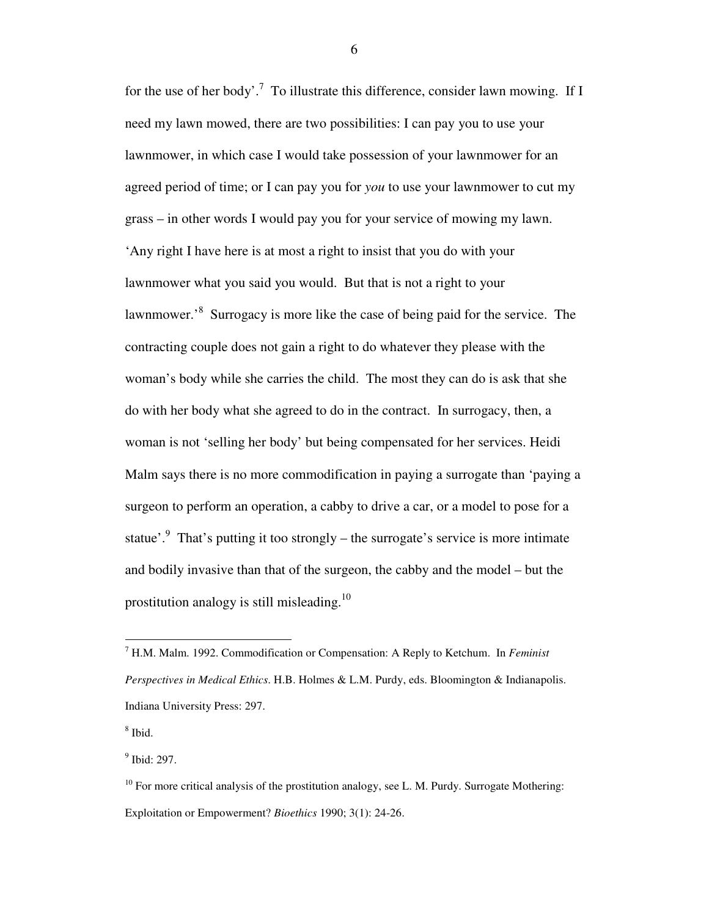for the use of her body'.<sup>7</sup> To illustrate this difference, consider lawn mowing. If I need my lawn mowed, there are two possibilities: I can pay you to use your lawnmower, in which case I would take possession of your lawnmower for an agreed period of time; or I can pay you for *you* to use your lawnmower to cut my grass – in other words I would pay you for your service of mowing my lawn. 'Any right I have here is at most a right to insist that you do with your lawnmower what you said you would. But that is not a right to your lawnmower.<sup>8</sup> Surrogacy is more like the case of being paid for the service. The contracting couple does not gain a right to do whatever they please with the woman's body while she carries the child. The most they can do is ask that she do with her body what she agreed to do in the contract. In surrogacy, then, a woman is not 'selling her body' but being compensated for her services. Heidi Malm says there is no more commodification in paying a surrogate than 'paying a surgeon to perform an operation, a cabby to drive a car, or a model to pose for a statue'.<sup>9</sup> That's putting it too strongly – the surrogate's service is more intimate and bodily invasive than that of the surgeon, the cabby and the model – but the prostitution analogy is still misleading.<sup>10</sup>

8 Ibid.

<u>.</u>

<sup>9</sup> Ibid: 297.

<sup>7</sup> H.M. Malm. 1992. Commodification or Compensation: A Reply to Ketchum. In *Feminist Perspectives in Medical Ethics*. H.B. Holmes & L.M. Purdy, eds. Bloomington & Indianapolis. Indiana University Press: 297.

 $10$  For more critical analysis of the prostitution analogy, see L. M. Purdy. Surrogate Mothering: Exploitation or Empowerment? *Bioethics* 1990; 3(1): 24-26.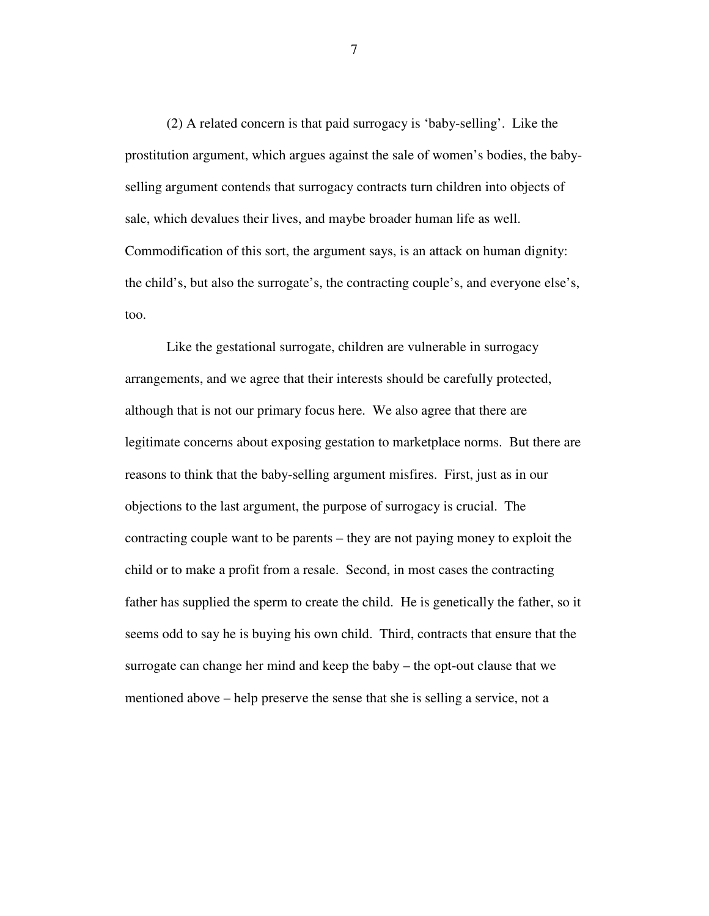(2) A related concern is that paid surrogacy is 'baby-selling'. Like the prostitution argument, which argues against the sale of women's bodies, the babyselling argument contends that surrogacy contracts turn children into objects of sale, which devalues their lives, and maybe broader human life as well. Commodification of this sort, the argument says, is an attack on human dignity: the child's, but also the surrogate's, the contracting couple's, and everyone else's, too.

Like the gestational surrogate, children are vulnerable in surrogacy arrangements, and we agree that their interests should be carefully protected, although that is not our primary focus here. We also agree that there are legitimate concerns about exposing gestation to marketplace norms. But there are reasons to think that the baby-selling argument misfires. First, just as in our objections to the last argument, the purpose of surrogacy is crucial. The contracting couple want to be parents – they are not paying money to exploit the child or to make a profit from a resale. Second, in most cases the contracting father has supplied the sperm to create the child. He is genetically the father, so it seems odd to say he is buying his own child. Third, contracts that ensure that the surrogate can change her mind and keep the baby – the opt-out clause that we mentioned above – help preserve the sense that she is selling a service, not a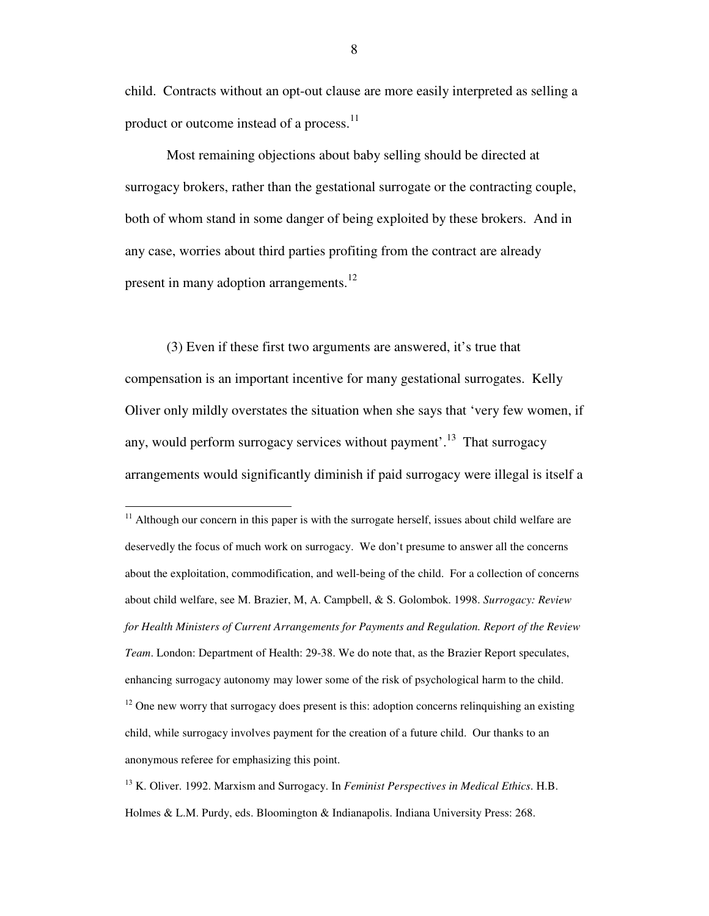child. Contracts without an opt-out clause are more easily interpreted as selling a product or outcome instead of a process.<sup>11</sup>

Most remaining objections about baby selling should be directed at surrogacy brokers, rather than the gestational surrogate or the contracting couple, both of whom stand in some danger of being exploited by these brokers. And in any case, worries about third parties profiting from the contract are already present in many adoption arrangements.<sup>12</sup>

(3) Even if these first two arguments are answered, it's true that compensation is an important incentive for many gestational surrogates. Kelly Oliver only mildly overstates the situation when she says that 'very few women, if any, would perform surrogacy services without payment'.<sup>13</sup> That surrogacy arrangements would significantly diminish if paid surrogacy were illegal is itself a

-

 $11$  Although our concern in this paper is with the surrogate herself, issues about child welfare are deservedly the focus of much work on surrogacy. We don't presume to answer all the concerns about the exploitation, commodification, and well-being of the child. For a collection of concerns about child welfare, see M. Brazier, M, A. Campbell, & S. Golombok. 1998. *Surrogacy: Review for Health Ministers of Current Arrangements for Payments and Regulation. Report of the Review Team*. London: Department of Health: 29-38. We do note that, as the Brazier Report speculates, enhancing surrogacy autonomy may lower some of the risk of psychological harm to the child.  $12$  One new worry that surrogacy does present is this: adoption concerns relinquishing an existing child, while surrogacy involves payment for the creation of a future child. Our thanks to an anonymous referee for emphasizing this point.

<sup>13</sup> K. Oliver. 1992. Marxism and Surrogacy. In *Feminist Perspectives in Medical Ethics*. H.B. Holmes & L.M. Purdy, eds. Bloomington & Indianapolis. Indiana University Press: 268.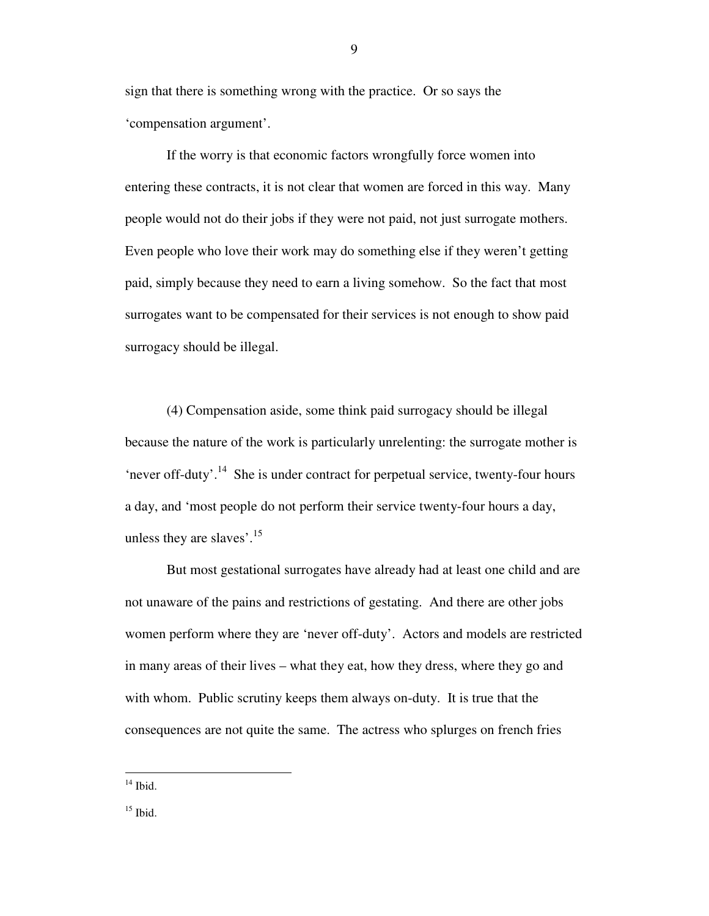sign that there is something wrong with the practice. Or so says the 'compensation argument'.

If the worry is that economic factors wrongfully force women into entering these contracts, it is not clear that women are forced in this way. Many people would not do their jobs if they were not paid, not just surrogate mothers. Even people who love their work may do something else if they weren't getting paid, simply because they need to earn a living somehow. So the fact that most surrogates want to be compensated for their services is not enough to show paid surrogacy should be illegal.

(4) Compensation aside, some think paid surrogacy should be illegal because the nature of the work is particularly unrelenting: the surrogate mother is 'never off-duty'.<sup>14</sup> She is under contract for perpetual service, twenty-four hours a day, and 'most people do not perform their service twenty-four hours a day, unless they are slaves'.<sup>15</sup>

But most gestational surrogates have already had at least one child and are not unaware of the pains and restrictions of gestating. And there are other jobs women perform where they are 'never off-duty'. Actors and models are restricted in many areas of their lives – what they eat, how they dress, where they go and with whom. Public scrutiny keeps them always on-duty. It is true that the consequences are not quite the same. The actress who splurges on french fries

 $14$  Ibid.

 $15$  Ibid.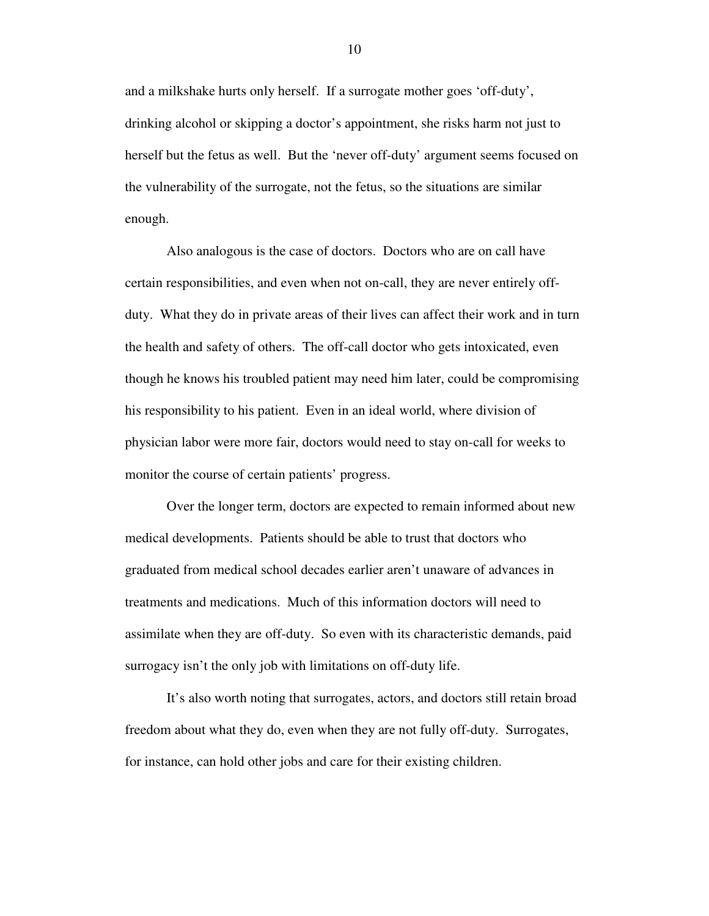and a milkshake hurts only herself. If a surrogate mother goes 'off-duty', drinking alcohol or skipping a doctor's appointment, she risks harm not just to herself but the fetus as well. But the 'never off-duty' argument seems focused on the vulnerability of the surrogate, not the fetus, so the situations are similar enough.

Also analogous is the case of doctors. Doctors who are on call have certain responsibilities, and even when not on-call, they are never entirely offduty. What they do in private areas of their lives can affect their work and in turn the health and safety of others. The off-call doctor who gets intoxicated, even though he knows his troubled patient may need him later, could be compromising his responsibility to his patient. Even in an ideal world, where division of physician labor were more fair, doctors would need to stay on-call for weeks to monitor the course of certain patients' progress.

Over the longer term, doctors are expected to remain informed about new medical developments. Patients should be able to trust that doctors who graduated from medical school decades earlier aren't unaware of advances in treatments and medications. Much of this information doctors will need to assimilate when they are off-duty. So even with its characteristic demands, paid surrogacy isn't the only job with limitations on off-duty life.

It's also worth noting that surrogates, actors, and doctors still retain broad freedom about what they do, even when they are not fully off-duty. Surrogates, for instance, can hold other jobs and care for their existing children.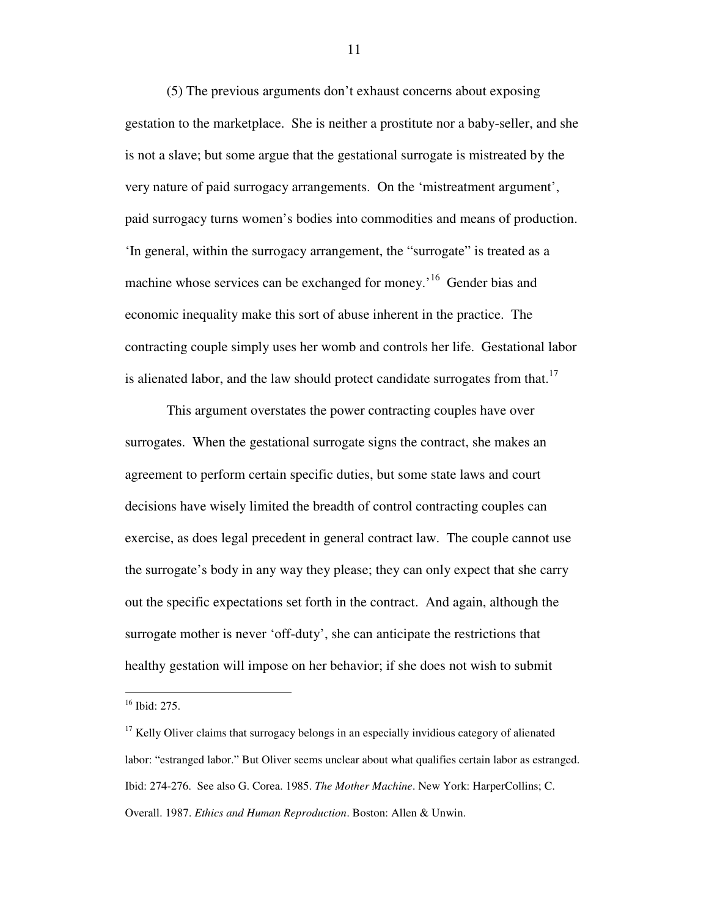(5) The previous arguments don't exhaust concerns about exposing gestation to the marketplace. She is neither a prostitute nor a baby-seller, and she is not a slave; but some argue that the gestational surrogate is mistreated by the very nature of paid surrogacy arrangements. On the 'mistreatment argument', paid surrogacy turns women's bodies into commodities and means of production. 'In general, within the surrogacy arrangement, the "surrogate" is treated as a machine whose services can be exchanged for money.<sup>16</sup> Gender bias and economic inequality make this sort of abuse inherent in the practice. The contracting couple simply uses her womb and controls her life. Gestational labor is alienated labor, and the law should protect candidate surrogates from that.<sup>17</sup>

 This argument overstates the power contracting couples have over surrogates. When the gestational surrogate signs the contract, she makes an agreement to perform certain specific duties, but some state laws and court decisions have wisely limited the breadth of control contracting couples can exercise, as does legal precedent in general contract law. The couple cannot use the surrogate's body in any way they please; they can only expect that she carry out the specific expectations set forth in the contract. And again, although the surrogate mother is never 'off-duty', she can anticipate the restrictions that healthy gestation will impose on her behavior; if she does not wish to submit

 $\overline{a}$ 

<sup>16</sup> Ibid: 275.

 $17$  Kelly Oliver claims that surrogacy belongs in an especially invidious category of alienated labor: "estranged labor." But Oliver seems unclear about what qualifies certain labor as estranged. Ibid: 274-276. See also G. Corea. 1985. *The Mother Machine*. New York: HarperCollins; C. Overall. 1987. *Ethics and Human Reproduction*. Boston: Allen & Unwin.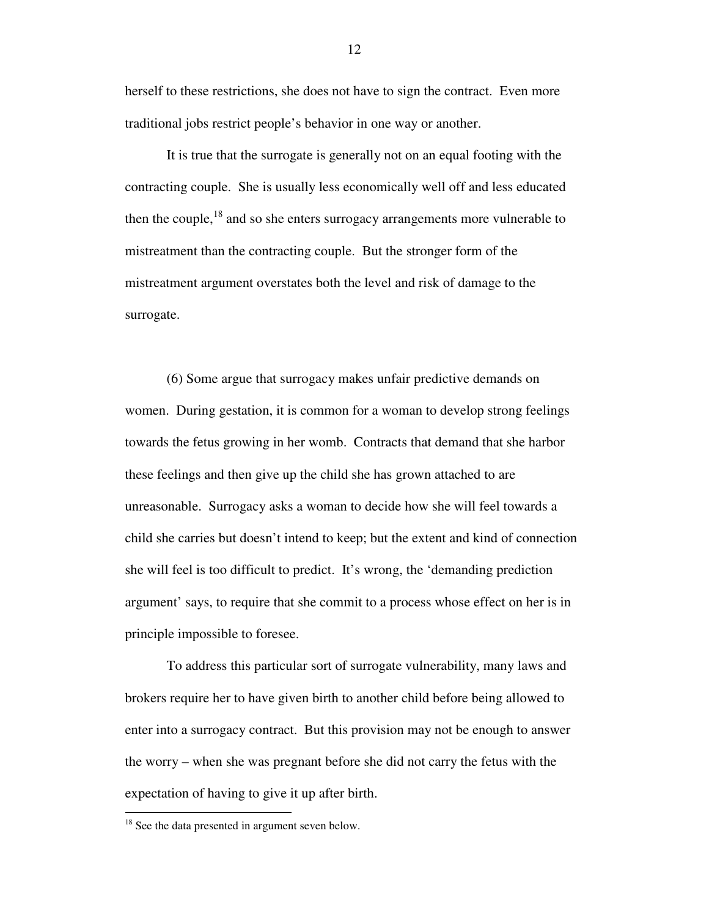herself to these restrictions, she does not have to sign the contract. Even more traditional jobs restrict people's behavior in one way or another.

It is true that the surrogate is generally not on an equal footing with the contracting couple. She is usually less economically well off and less educated then the couple, $18$  and so she enters surrogacy arrangements more vulnerable to mistreatment than the contracting couple. But the stronger form of the mistreatment argument overstates both the level and risk of damage to the surrogate.

(6) Some argue that surrogacy makes unfair predictive demands on women. During gestation, it is common for a woman to develop strong feelings towards the fetus growing in her womb. Contracts that demand that she harbor these feelings and then give up the child she has grown attached to are unreasonable. Surrogacy asks a woman to decide how she will feel towards a child she carries but doesn't intend to keep; but the extent and kind of connection she will feel is too difficult to predict. It's wrong, the 'demanding prediction argument' says, to require that she commit to a process whose effect on her is in principle impossible to foresee.

To address this particular sort of surrogate vulnerability, many laws and brokers require her to have given birth to another child before being allowed to enter into a surrogacy contract. But this provision may not be enough to answer the worry – when she was pregnant before she did not carry the fetus with the expectation of having to give it up after birth.

<u>.</u>

<sup>&</sup>lt;sup>18</sup> See the data presented in argument seven below.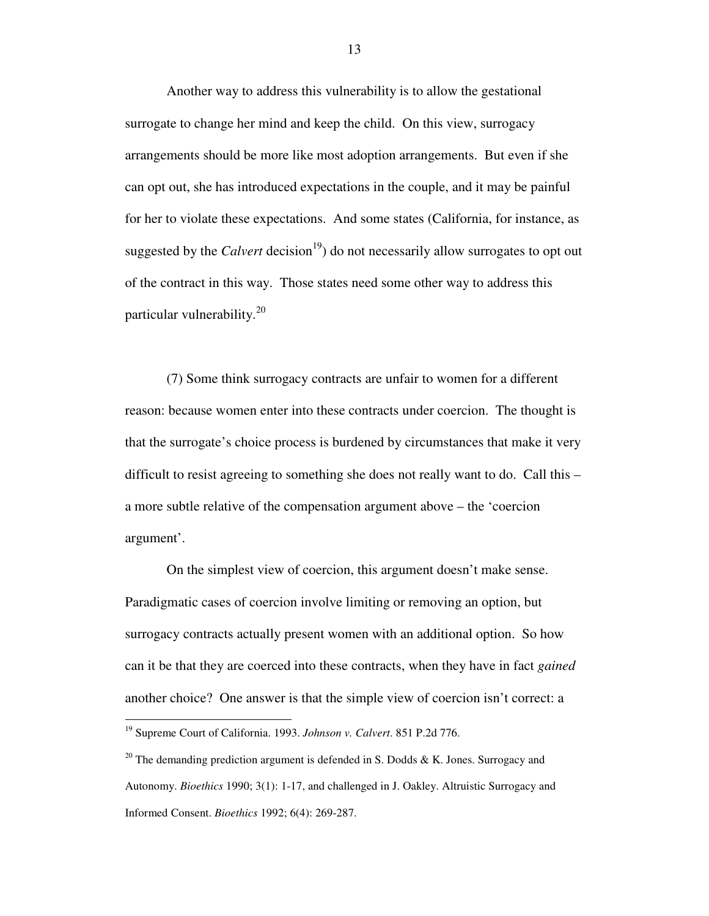Another way to address this vulnerability is to allow the gestational surrogate to change her mind and keep the child. On this view, surrogacy arrangements should be more like most adoption arrangements. But even if she can opt out, she has introduced expectations in the couple, and it may be painful for her to violate these expectations. And some states (California, for instance, as suggested by the *Calvert* decision<sup>19</sup>) do not necessarily allow surrogates to opt out of the contract in this way. Those states need some other way to address this particular vulnerability.<sup>20</sup>

(7) Some think surrogacy contracts are unfair to women for a different reason: because women enter into these contracts under coercion. The thought is that the surrogate's choice process is burdened by circumstances that make it very difficult to resist agreeing to something she does not really want to do. Call this – a more subtle relative of the compensation argument above – the 'coercion argument'.

On the simplest view of coercion, this argument doesn't make sense. Paradigmatic cases of coercion involve limiting or removing an option, but surrogacy contracts actually present women with an additional option. So how can it be that they are coerced into these contracts, when they have in fact *gained* another choice? One answer is that the simple view of coercion isn't correct: a

<u>.</u>

<sup>19</sup> Supreme Court of California. 1993. *Johnson v. Calvert*. 851 P.2d 776.

<sup>&</sup>lt;sup>20</sup> The demanding prediction argument is defended in S. Dodds & K. Jones. Surrogacy and Autonomy. *Bioethics* 1990; 3(1): 1-17, and challenged in J. Oakley. Altruistic Surrogacy and Informed Consent. *Bioethics* 1992; 6(4): 269-287.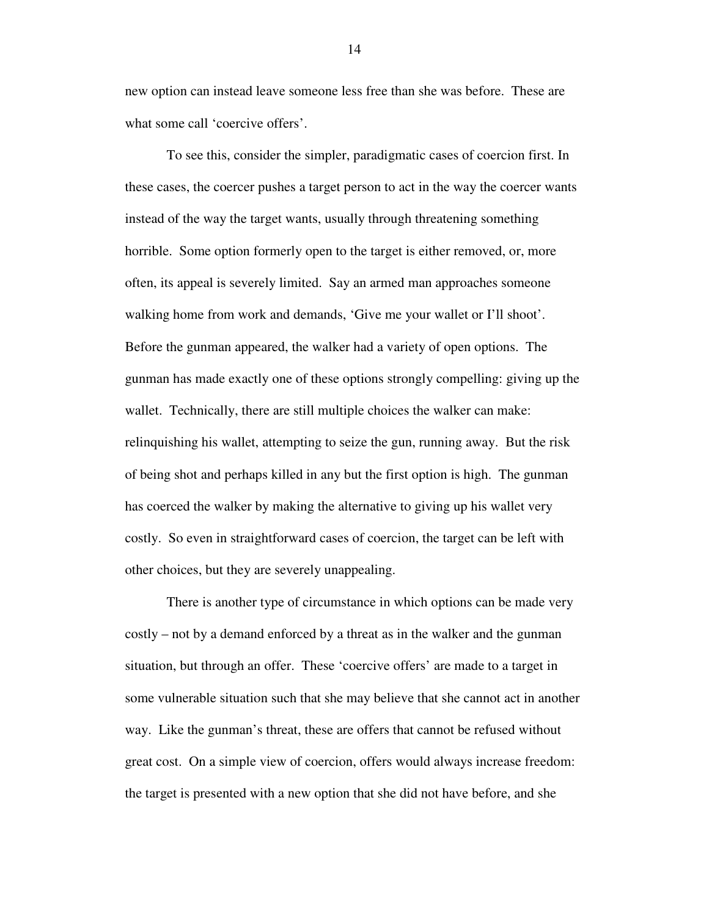new option can instead leave someone less free than she was before. These are what some call 'coercive offers'.

To see this, consider the simpler, paradigmatic cases of coercion first. In these cases, the coercer pushes a target person to act in the way the coercer wants instead of the way the target wants, usually through threatening something horrible. Some option formerly open to the target is either removed, or, more often, its appeal is severely limited. Say an armed man approaches someone walking home from work and demands, 'Give me your wallet or I'll shoot'. Before the gunman appeared, the walker had a variety of open options. The gunman has made exactly one of these options strongly compelling: giving up the wallet. Technically, there are still multiple choices the walker can make: relinquishing his wallet, attempting to seize the gun, running away. But the risk of being shot and perhaps killed in any but the first option is high. The gunman has coerced the walker by making the alternative to giving up his wallet very costly. So even in straightforward cases of coercion, the target can be left with other choices, but they are severely unappealing.

There is another type of circumstance in which options can be made very costly – not by a demand enforced by a threat as in the walker and the gunman situation, but through an offer. These 'coercive offers' are made to a target in some vulnerable situation such that she may believe that she cannot act in another way. Like the gunman's threat, these are offers that cannot be refused without great cost. On a simple view of coercion, offers would always increase freedom: the target is presented with a new option that she did not have before, and she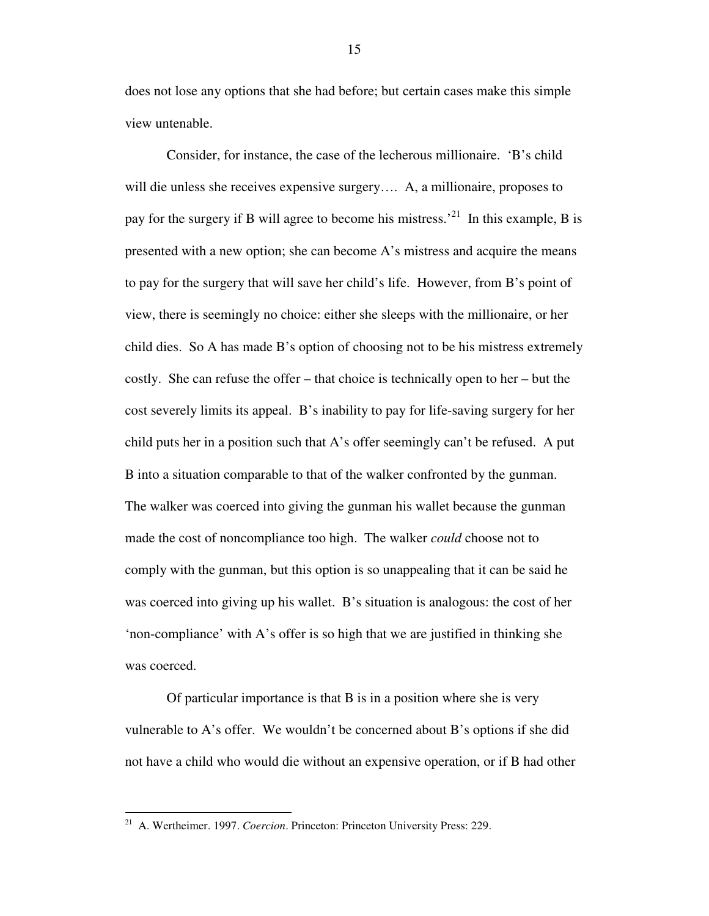does not lose any options that she had before; but certain cases make this simple view untenable.

 Consider, for instance, the case of the lecherous millionaire. 'B's child will die unless she receives expensive surgery.... A, a millionaire, proposes to pay for the surgery if B will agree to become his mistress.<sup>21</sup> In this example, B is presented with a new option; she can become A's mistress and acquire the means to pay for the surgery that will save her child's life. However, from B's point of view, there is seemingly no choice: either she sleeps with the millionaire, or her child dies. So A has made B's option of choosing not to be his mistress extremely costly. She can refuse the offer – that choice is technically open to her – but the cost severely limits its appeal. B's inability to pay for life-saving surgery for her child puts her in a position such that A's offer seemingly can't be refused. A put B into a situation comparable to that of the walker confronted by the gunman. The walker was coerced into giving the gunman his wallet because the gunman made the cost of noncompliance too high. The walker *could* choose not to comply with the gunman, but this option is so unappealing that it can be said he was coerced into giving up his wallet. B's situation is analogous: the cost of her 'non-compliance' with A's offer is so high that we are justified in thinking she was coerced.

Of particular importance is that B is in a position where she is very vulnerable to A's offer. We wouldn't be concerned about B's options if she did not have a child who would die without an expensive operation, or if B had other

<u>.</u>

<sup>&</sup>lt;sup>21</sup> A. Wertheimer. 1997. *Coercion*. Princeton: Princeton University Press: 229.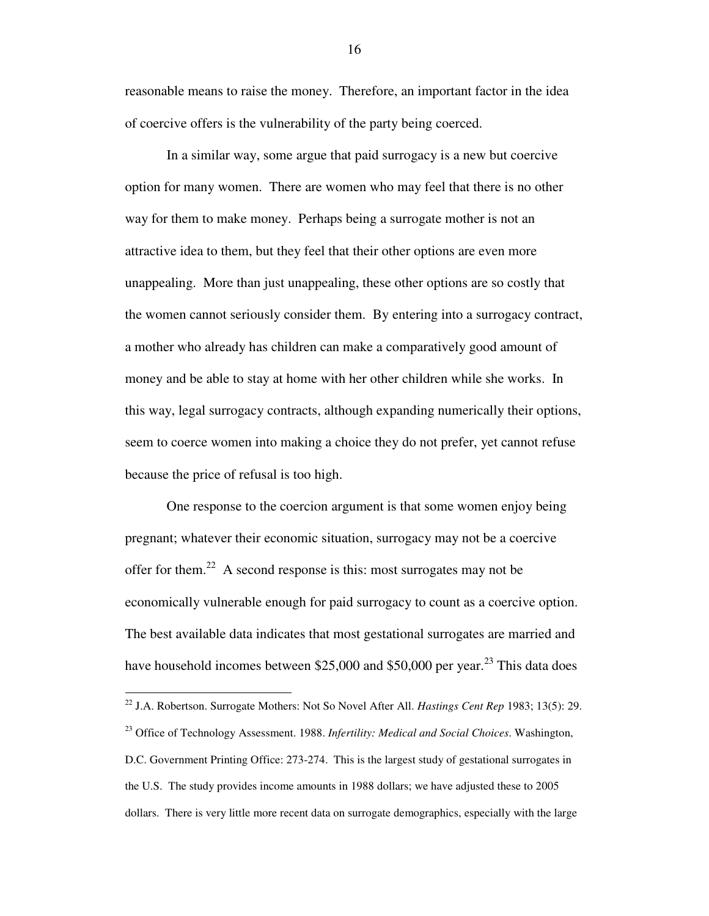reasonable means to raise the money. Therefore, an important factor in the idea of coercive offers is the vulnerability of the party being coerced.

In a similar way, some argue that paid surrogacy is a new but coercive option for many women. There are women who may feel that there is no other way for them to make money. Perhaps being a surrogate mother is not an attractive idea to them, but they feel that their other options are even more unappealing. More than just unappealing, these other options are so costly that the women cannot seriously consider them. By entering into a surrogacy contract, a mother who already has children can make a comparatively good amount of money and be able to stay at home with her other children while she works. In this way, legal surrogacy contracts, although expanding numerically their options, seem to coerce women into making a choice they do not prefer, yet cannot refuse because the price of refusal is too high.

One response to the coercion argument is that some women enjoy being pregnant; whatever their economic situation, surrogacy may not be a coercive offer for them.<sup>22</sup> A second response is this: most surrogates may not be economically vulnerable enough for paid surrogacy to count as a coercive option. The best available data indicates that most gestational surrogates are married and have household incomes between \$25,000 and \$50,000 per year.<sup>23</sup> This data does

 $\overline{a}$ <sup>22</sup> J.A. Robertson. Surrogate Mothers: Not So Novel After All. *Hastings Cent Rep* 1983; 13(5): 29. <sup>23</sup> Office of Technology Assessment. 1988. *Infertility: Medical and Social Choices*. Washington, D.C. Government Printing Office: 273-274. This is the largest study of gestational surrogates in the U.S. The study provides income amounts in 1988 dollars; we have adjusted these to 2005 dollars. There is very little more recent data on surrogate demographics, especially with the large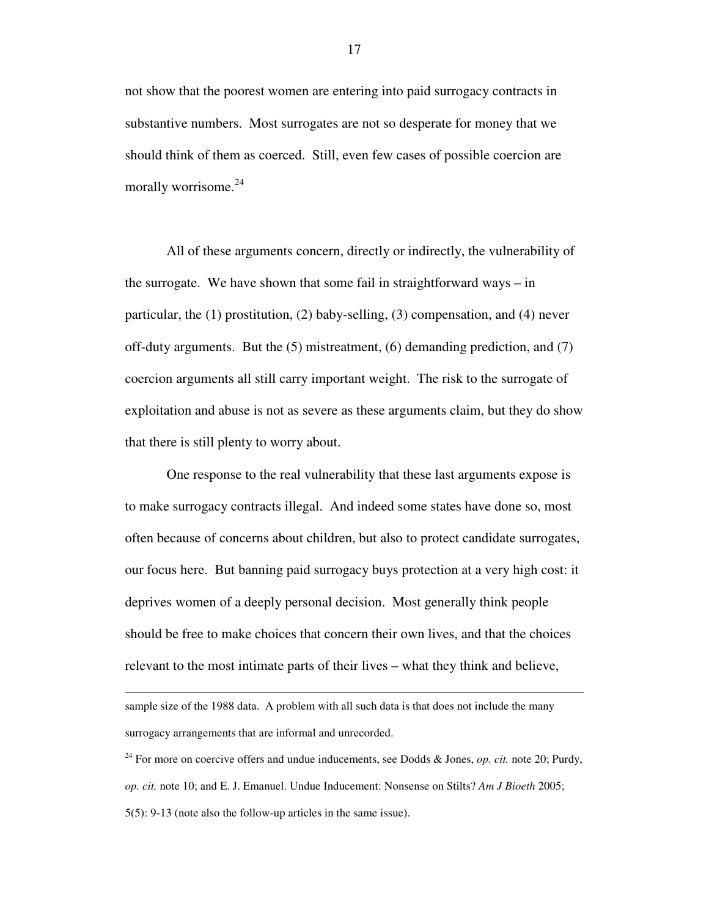not show that the poorest women are entering into paid surrogacy contracts in substantive numbers. Most surrogates are not so desperate for money that we should think of them as coerced. Still, even few cases of possible coercion are morally worrisome.<sup>24</sup>

 All of these arguments concern, directly or indirectly, the vulnerability of the surrogate. We have shown that some fail in straightforward ways – in particular, the (1) prostitution, (2) baby-selling, (3) compensation, and (4) never off-duty arguments. But the (5) mistreatment, (6) demanding prediction, and (7) coercion arguments all still carry important weight. The risk to the surrogate of exploitation and abuse is not as severe as these arguments claim, but they do show that there is still plenty to worry about.

 One response to the real vulnerability that these last arguments expose is to make surrogacy contracts illegal. And indeed some states have done so, most often because of concerns about children, but also to protect candidate surrogates, our focus here. But banning paid surrogacy buys protection at a very high cost: it deprives women of a deeply personal decision. Most generally think people should be free to make choices that concern their own lives, and that the choices relevant to the most intimate parts of their lives – what they think and believe,

sample size of the 1988 data. A problem with all such data is that does not include the many surrogacy arrangements that are informal and unrecorded.

<u>.</u>

<sup>24</sup> For more on coercive offers and undue inducements, see Dodds & Jones, *op. cit.* note 20; Purdy, *op. cit.* note 10; and E. J. Emanuel. Undue Inducement: Nonsense on Stilts? *Am J Bioeth* 2005; 5(5): 9-13 (note also the follow-up articles in the same issue).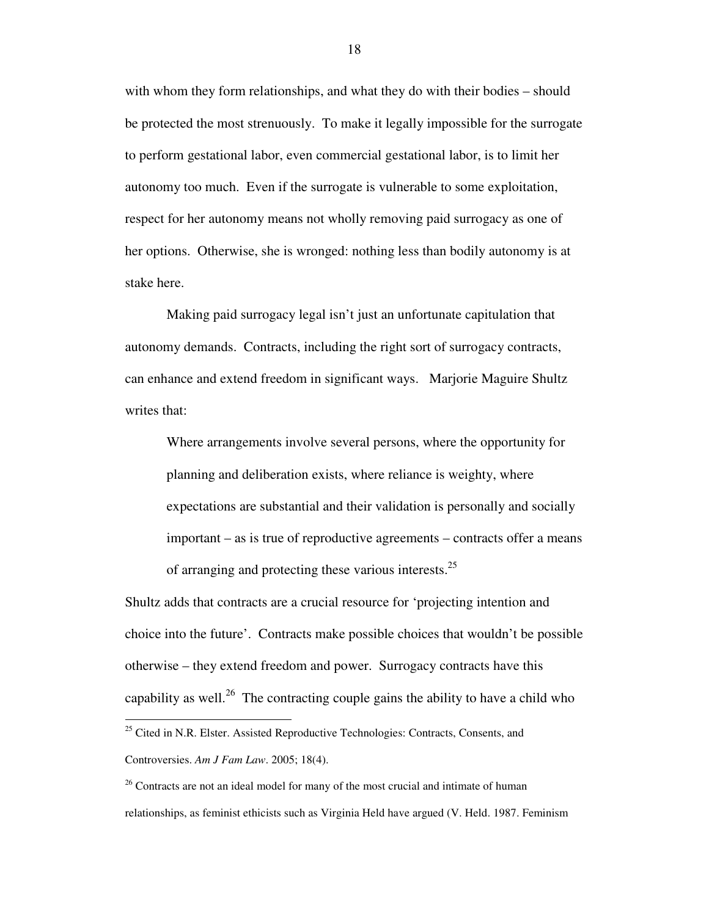with whom they form relationships, and what they do with their bodies – should be protected the most strenuously. To make it legally impossible for the surrogate to perform gestational labor, even commercial gestational labor, is to limit her autonomy too much. Even if the surrogate is vulnerable to some exploitation, respect for her autonomy means not wholly removing paid surrogacy as one of her options. Otherwise, she is wronged: nothing less than bodily autonomy is at stake here.

 Making paid surrogacy legal isn't just an unfortunate capitulation that autonomy demands. Contracts, including the right sort of surrogacy contracts, can enhance and extend freedom in significant ways. Marjorie Maguire Shultz writes that:

Where arrangements involve several persons, where the opportunity for planning and deliberation exists, where reliance is weighty, where expectations are substantial and their validation is personally and socially important – as is true of reproductive agreements – contracts offer a means of arranging and protecting these various interests. $25$ 

Shultz adds that contracts are a crucial resource for 'projecting intention and choice into the future'. Contracts make possible choices that wouldn't be possible otherwise – they extend freedom and power. Surrogacy contracts have this capability as well.<sup>26</sup> The contracting couple gains the ability to have a child who

<sup>&</sup>lt;sup>25</sup> Cited in N.R. Elster. Assisted Reproductive Technologies: Contracts, Consents, and Controversies. *Am J Fam Law*. 2005; 18(4).

 $26$  Contracts are not an ideal model for many of the most crucial and intimate of human relationships, as feminist ethicists such as Virginia Held have argued (V. Held. 1987. Feminism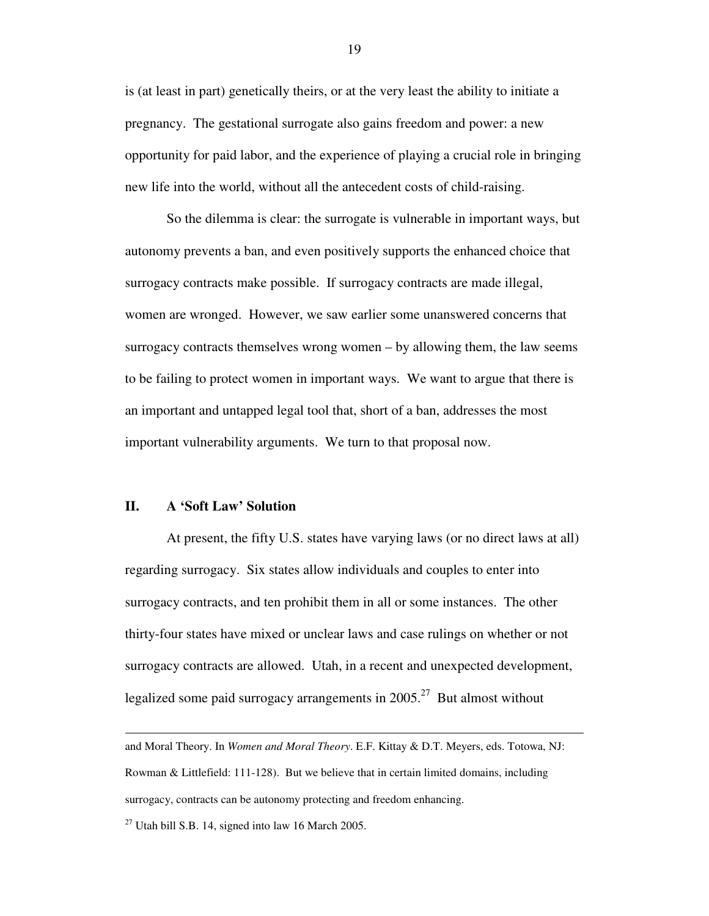is (at least in part) genetically theirs, or at the very least the ability to initiate a pregnancy. The gestational surrogate also gains freedom and power: a new opportunity for paid labor, and the experience of playing a crucial role in bringing new life into the world, without all the antecedent costs of child-raising.

 So the dilemma is clear: the surrogate is vulnerable in important ways, but autonomy prevents a ban, and even positively supports the enhanced choice that surrogacy contracts make possible. If surrogacy contracts are made illegal, women are wronged. However, we saw earlier some unanswered concerns that surrogacy contracts themselves wrong women – by allowing them, the law seems to be failing to protect women in important ways. We want to argue that there is an important and untapped legal tool that, short of a ban, addresses the most important vulnerability arguments. We turn to that proposal now.

### **II. A 'Soft Law' Solution**

 $\overline{a}$ 

 At present, the fifty U.S. states have varying laws (or no direct laws at all) regarding surrogacy. Six states allow individuals and couples to enter into surrogacy contracts, and ten prohibit them in all or some instances. The other thirty-four states have mixed or unclear laws and case rulings on whether or not surrogacy contracts are allowed. Utah, in a recent and unexpected development, legalized some paid surrogacy arrangements in  $2005<sup>27</sup>$  But almost without

and Moral Theory. In *Women and Moral Theory*. E.F. Kittay & D.T. Meyers, eds. Totowa, NJ: Rowman & Littlefield: 111-128). But we believe that in certain limited domains, including surrogacy, contracts can be autonomy protecting and freedom enhancing.

 $27$  Utah bill S.B. 14, signed into law 16 March 2005.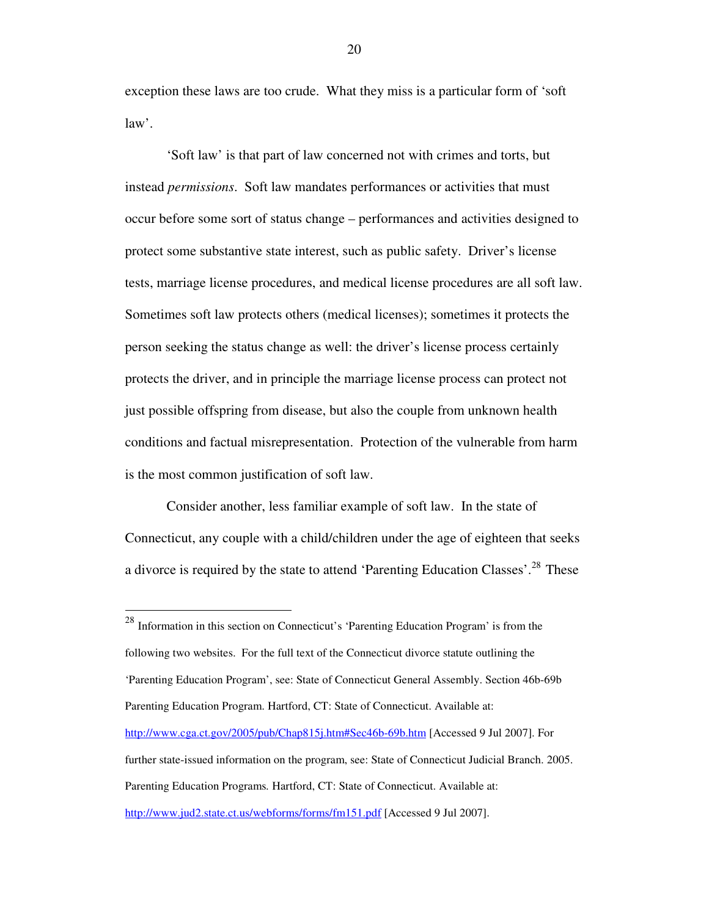exception these laws are too crude. What they miss is a particular form of 'soft law'.

 'Soft law' is that part of law concerned not with crimes and torts, but instead *permissions*. Soft law mandates performances or activities that must occur before some sort of status change – performances and activities designed to protect some substantive state interest, such as public safety. Driver's license tests, marriage license procedures, and medical license procedures are all soft law. Sometimes soft law protects others (medical licenses); sometimes it protects the person seeking the status change as well: the driver's license process certainly protects the driver, and in principle the marriage license process can protect not just possible offspring from disease, but also the couple from unknown health conditions and factual misrepresentation. Protection of the vulnerable from harm is the most common justification of soft law.

Consider another, less familiar example of soft law. In the state of Connecticut, any couple with a child/children under the age of eighteen that seeks a divorce is required by the state to attend 'Parenting Education Classes'.<sup>28</sup> These

 $28$  Information in this section on Connecticut's 'Parenting Education Program' is from the following two websites. For the full text of the Connecticut divorce statute outlining the 'Parenting Education Program', see: State of Connecticut General Assembly. Section 46b-69b Parenting Education Program. Hartford, CT: State of Connecticut. Available at: http://www.cga.ct.gov/2005/pub/Chap815j.htm#Sec46b-69b.htm [Accessed 9 Jul 2007]. For further state-issued information on the program, see: State of Connecticut Judicial Branch. 2005. Parenting Education Programs*.* Hartford, CT: State of Connecticut. Available at: http://www.jud2.state.ct.us/webforms/forms/fm151.pdf [Accessed 9 Jul 2007].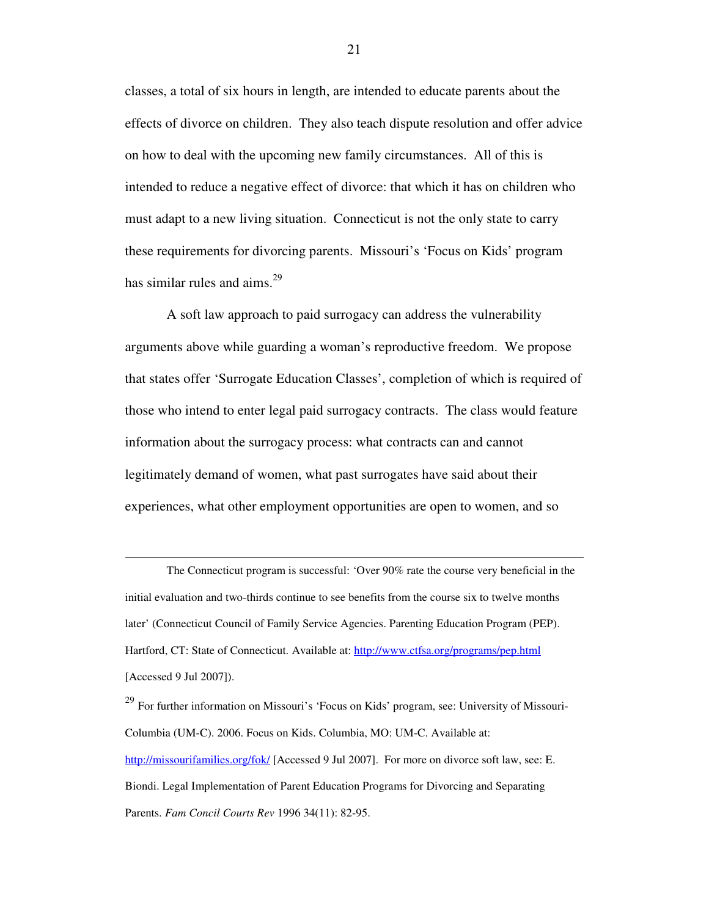classes, a total of six hours in length, are intended to educate parents about the effects of divorce on children. They also teach dispute resolution and offer advice on how to deal with the upcoming new family circumstances. All of this is intended to reduce a negative effect of divorce: that which it has on children who must adapt to a new living situation. Connecticut is not the only state to carry these requirements for divorcing parents. Missouri's 'Focus on Kids' program has similar rules and aims.<sup>29</sup>

 A soft law approach to paid surrogacy can address the vulnerability arguments above while guarding a woman's reproductive freedom. We propose that states offer 'Surrogate Education Classes', completion of which is required of those who intend to enter legal paid surrogacy contracts. The class would feature information about the surrogacy process: what contracts can and cannot legitimately demand of women, what past surrogates have said about their experiences, what other employment opportunities are open to women, and so

The Connecticut program is successful: 'Over 90% rate the course very beneficial in the initial evaluation and two-thirds continue to see benefits from the course six to twelve months later' (Connecticut Council of Family Service Agencies. Parenting Education Program (PEP). Hartford, CT: State of Connecticut. Available at: http://www.ctfsa.org/programs/pep.html [Accessed 9 Jul 2007]).

 $\overline{a}$ 

 $^{29}$  For further information on Missouri's 'Focus on Kids' program, see: University of Missouri-Columbia (UM-C). 2006. Focus on Kids. Columbia, MO: UM-C. Available at: http://missourifamilies.org/fok/ [Accessed 9 Jul 2007]. For more on divorce soft law, see: E. Biondi. Legal Implementation of Parent Education Programs for Divorcing and Separating Parents. *Fam Concil Courts Rev* 1996 34(11): 82-95.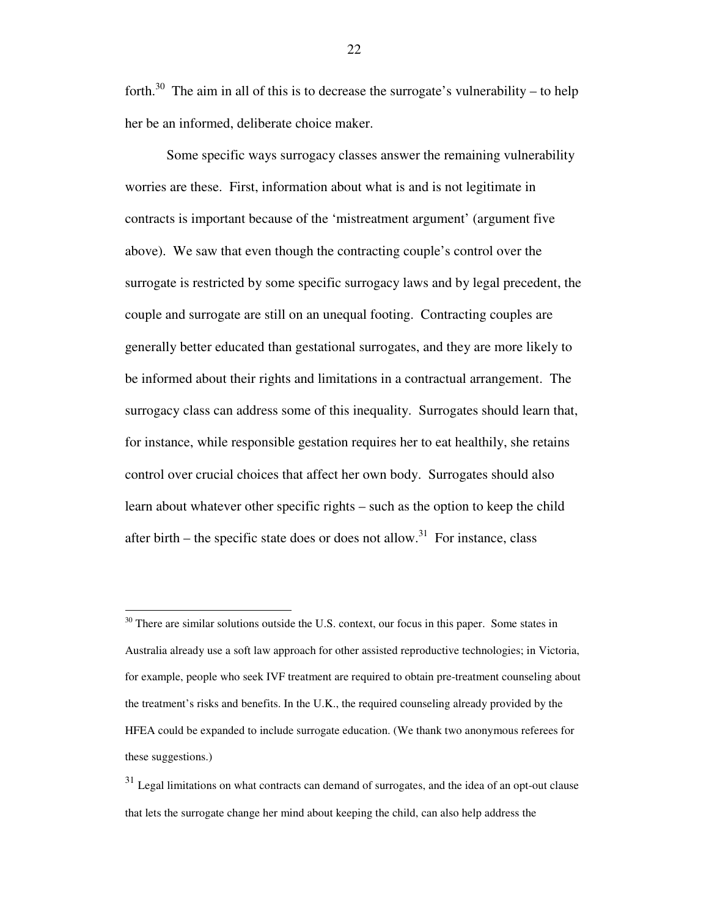forth.<sup>30</sup> The aim in all of this is to decrease the surrogate's vulnerability – to help her be an informed, deliberate choice maker.

 Some specific ways surrogacy classes answer the remaining vulnerability worries are these. First, information about what is and is not legitimate in contracts is important because of the 'mistreatment argument' (argument five above). We saw that even though the contracting couple's control over the surrogate is restricted by some specific surrogacy laws and by legal precedent, the couple and surrogate are still on an unequal footing. Contracting couples are generally better educated than gestational surrogates, and they are more likely to be informed about their rights and limitations in a contractual arrangement. The surrogacy class can address some of this inequality. Surrogates should learn that, for instance, while responsible gestation requires her to eat healthily, she retains control over crucial choices that affect her own body. Surrogates should also learn about whatever other specific rights – such as the option to keep the child after birth – the specific state does or does not allow.<sup>31</sup> For instance, class

 $30$  There are similar solutions outside the U.S. context, our focus in this paper. Some states in Australia already use a soft law approach for other assisted reproductive technologies; in Victoria, for example, people who seek IVF treatment are required to obtain pre-treatment counseling about the treatment's risks and benefits. In the U.K., the required counseling already provided by the HFEA could be expanded to include surrogate education. (We thank two anonymous referees for these suggestions.)

<sup>&</sup>lt;sup>31</sup> Legal limitations on what contracts can demand of surrogates, and the idea of an opt-out clause that lets the surrogate change her mind about keeping the child, can also help address the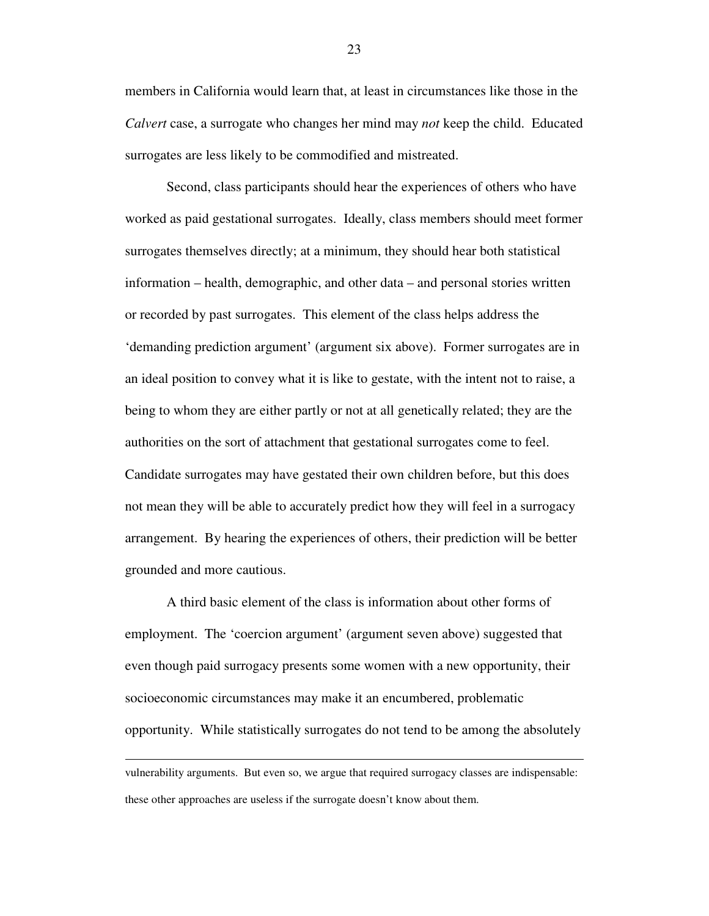members in California would learn that, at least in circumstances like those in the *Calvert* case, a surrogate who changes her mind may *not* keep the child. Educated surrogates are less likely to be commodified and mistreated.

 Second, class participants should hear the experiences of others who have worked as paid gestational surrogates. Ideally, class members should meet former surrogates themselves directly; at a minimum, they should hear both statistical information – health, demographic, and other data – and personal stories written or recorded by past surrogates. This element of the class helps address the 'demanding prediction argument' (argument six above). Former surrogates are in an ideal position to convey what it is like to gestate, with the intent not to raise, a being to whom they are either partly or not at all genetically related; they are the authorities on the sort of attachment that gestational surrogates come to feel. Candidate surrogates may have gestated their own children before, but this does not mean they will be able to accurately predict how they will feel in a surrogacy arrangement. By hearing the experiences of others, their prediction will be better grounded and more cautious.

 A third basic element of the class is information about other forms of employment. The 'coercion argument' (argument seven above) suggested that even though paid surrogacy presents some women with a new opportunity, their socioeconomic circumstances may make it an encumbered, problematic opportunity. While statistically surrogates do not tend to be among the absolutely

-

vulnerability arguments. But even so, we argue that required surrogacy classes are indispensable: these other approaches are useless if the surrogate doesn't know about them.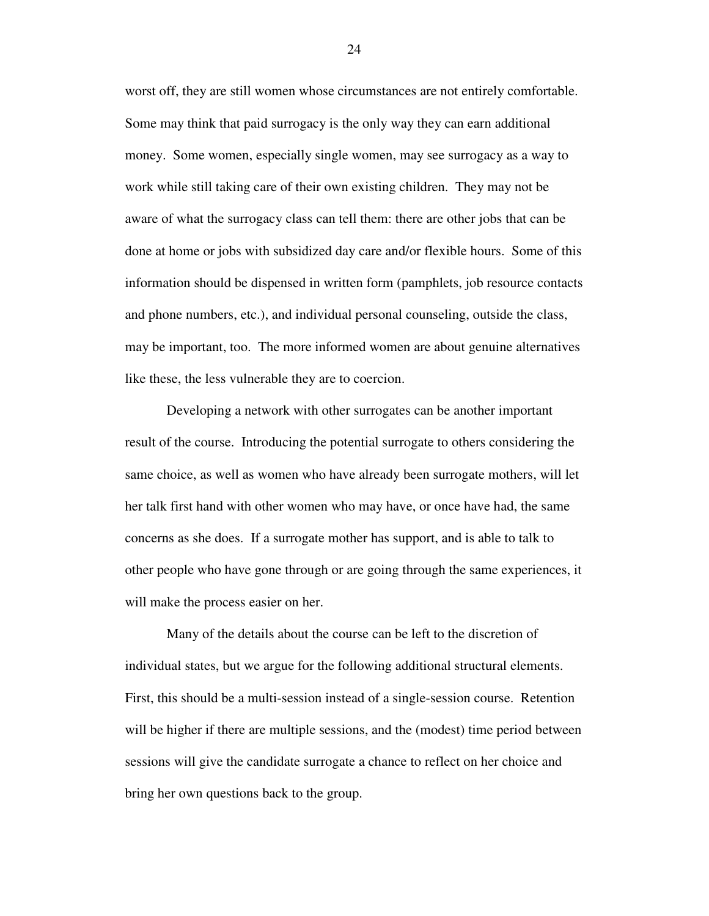worst off, they are still women whose circumstances are not entirely comfortable. Some may think that paid surrogacy is the only way they can earn additional money. Some women, especially single women, may see surrogacy as a way to work while still taking care of their own existing children. They may not be aware of what the surrogacy class can tell them: there are other jobs that can be done at home or jobs with subsidized day care and/or flexible hours. Some of this information should be dispensed in written form (pamphlets, job resource contacts and phone numbers, etc.), and individual personal counseling, outside the class, may be important, too. The more informed women are about genuine alternatives like these, the less vulnerable they are to coercion.

 Developing a network with other surrogates can be another important result of the course. Introducing the potential surrogate to others considering the same choice, as well as women who have already been surrogate mothers, will let her talk first hand with other women who may have, or once have had, the same concerns as she does. If a surrogate mother has support, and is able to talk to other people who have gone through or are going through the same experiences, it will make the process easier on her.

 Many of the details about the course can be left to the discretion of individual states, but we argue for the following additional structural elements. First, this should be a multi-session instead of a single-session course. Retention will be higher if there are multiple sessions, and the (modest) time period between sessions will give the candidate surrogate a chance to reflect on her choice and bring her own questions back to the group.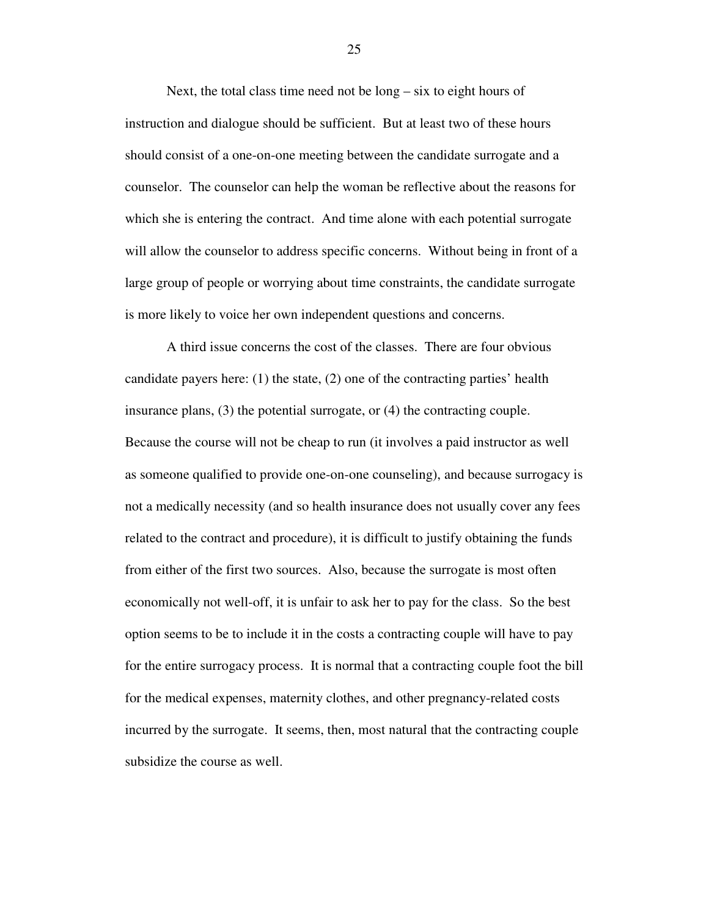Next, the total class time need not be long – six to eight hours of instruction and dialogue should be sufficient. But at least two of these hours should consist of a one-on-one meeting between the candidate surrogate and a counselor. The counselor can help the woman be reflective about the reasons for which she is entering the contract. And time alone with each potential surrogate will allow the counselor to address specific concerns. Without being in front of a large group of people or worrying about time constraints, the candidate surrogate is more likely to voice her own independent questions and concerns.

A third issue concerns the cost of the classes. There are four obvious candidate payers here: (1) the state, (2) one of the contracting parties' health insurance plans, (3) the potential surrogate, or (4) the contracting couple. Because the course will not be cheap to run (it involves a paid instructor as well as someone qualified to provide one-on-one counseling), and because surrogacy is not a medically necessity (and so health insurance does not usually cover any fees related to the contract and procedure), it is difficult to justify obtaining the funds from either of the first two sources. Also, because the surrogate is most often economically not well-off, it is unfair to ask her to pay for the class. So the best option seems to be to include it in the costs a contracting couple will have to pay for the entire surrogacy process. It is normal that a contracting couple foot the bill for the medical expenses, maternity clothes, and other pregnancy-related costs incurred by the surrogate. It seems, then, most natural that the contracting couple subsidize the course as well.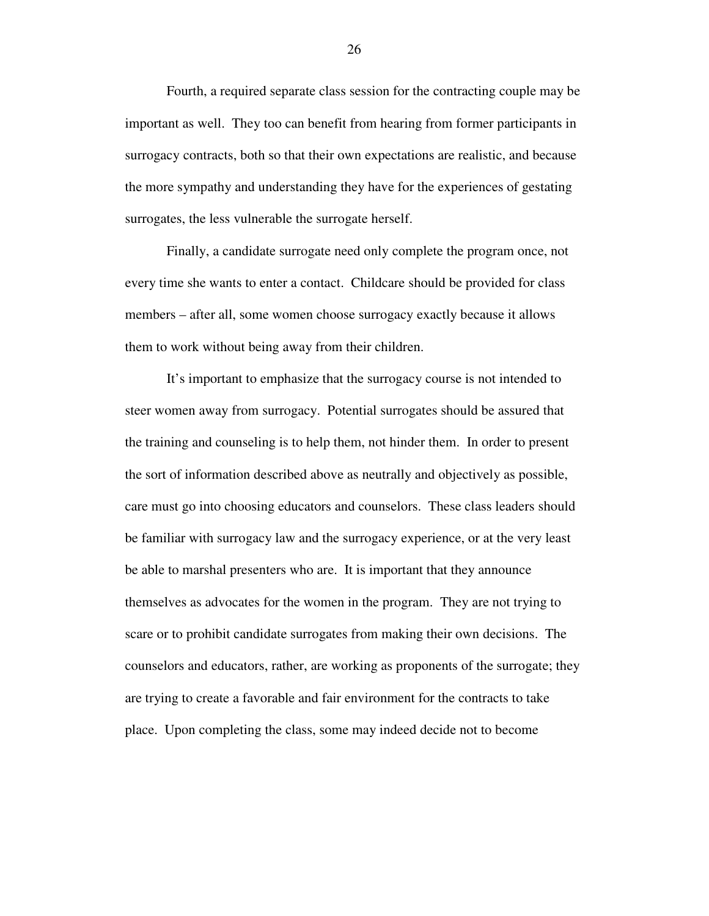Fourth, a required separate class session for the contracting couple may be important as well. They too can benefit from hearing from former participants in surrogacy contracts, both so that their own expectations are realistic, and because the more sympathy and understanding they have for the experiences of gestating surrogates, the less vulnerable the surrogate herself.

Finally, a candidate surrogate need only complete the program once, not every time she wants to enter a contact. Childcare should be provided for class members – after all, some women choose surrogacy exactly because it allows them to work without being away from their children.

It's important to emphasize that the surrogacy course is not intended to steer women away from surrogacy. Potential surrogates should be assured that the training and counseling is to help them, not hinder them. In order to present the sort of information described above as neutrally and objectively as possible, care must go into choosing educators and counselors. These class leaders should be familiar with surrogacy law and the surrogacy experience, or at the very least be able to marshal presenters who are. It is important that they announce themselves as advocates for the women in the program. They are not trying to scare or to prohibit candidate surrogates from making their own decisions. The counselors and educators, rather, are working as proponents of the surrogate; they are trying to create a favorable and fair environment for the contracts to take place. Upon completing the class, some may indeed decide not to become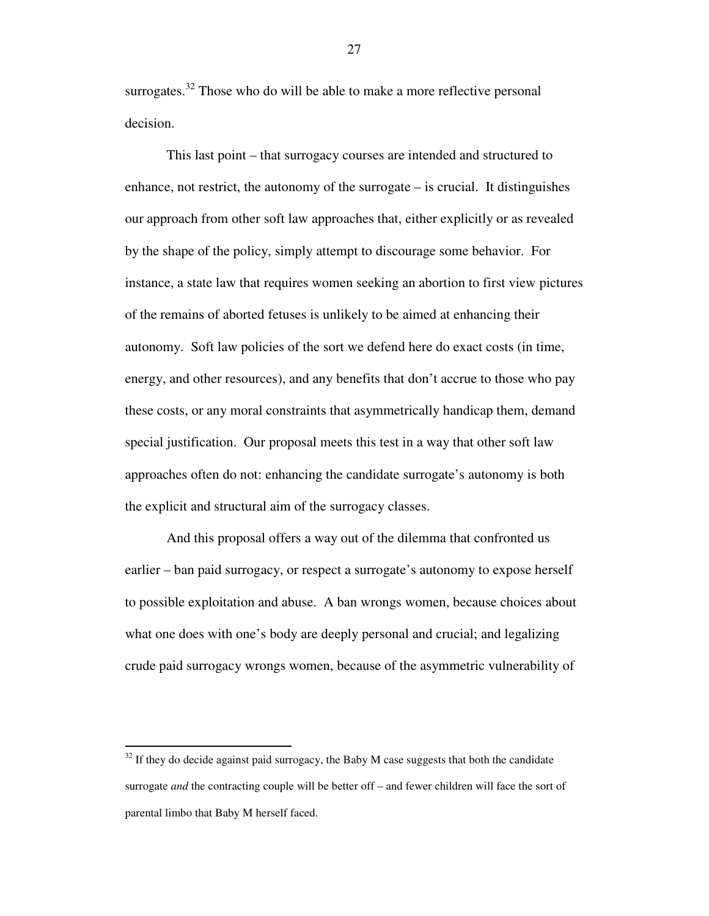surrogates.<sup>32</sup> Those who do will be able to make a more reflective personal decision.

This last point – that surrogacy courses are intended and structured to enhance, not restrict, the autonomy of the surrogate – is crucial. It distinguishes our approach from other soft law approaches that, either explicitly or as revealed by the shape of the policy, simply attempt to discourage some behavior. For instance, a state law that requires women seeking an abortion to first view pictures of the remains of aborted fetuses is unlikely to be aimed at enhancing their autonomy. Soft law policies of the sort we defend here do exact costs (in time, energy, and other resources), and any benefits that don't accrue to those who pay these costs, or any moral constraints that asymmetrically handicap them, demand special justification. Our proposal meets this test in a way that other soft law approaches often do not: enhancing the candidate surrogate's autonomy is both the explicit and structural aim of the surrogacy classes.

And this proposal offers a way out of the dilemma that confronted us earlier – ban paid surrogacy, or respect a surrogate's autonomy to expose herself to possible exploitation and abuse. A ban wrongs women, because choices about what one does with one's body are deeply personal and crucial; and legalizing crude paid surrogacy wrongs women, because of the asymmetric vulnerability of

-

 $32$  If they do decide against paid surrogacy, the Baby M case suggests that both the candidate surrogate *and* the contracting couple will be better off – and fewer children will face the sort of parental limbo that Baby M herself faced.